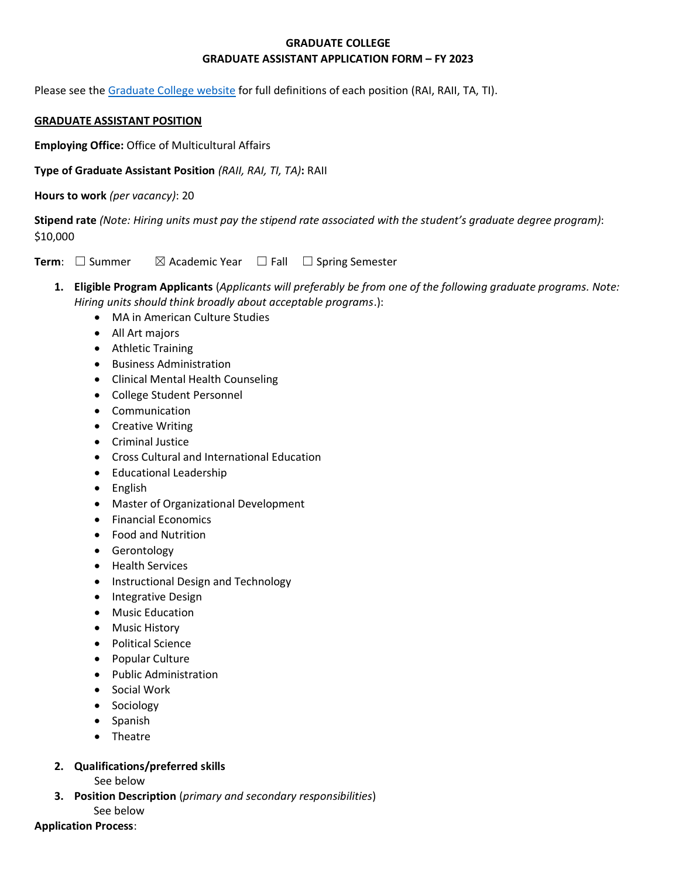#### **GRADUATE COLLEGE GRADUATE ASSISTANT APPLICATION FORM – FY 2023**

Please see the [Graduate College website](https://www.bgsu.edu/content/dam/BGSU/graduate-college/GADocs/Grad-Col-GA-Position-Descriptions-21-22.pdf) for full definitions of each position (RAI, RAII, TA, TI).

#### **GRADUATE ASSISTANT POSITION**

**Employing Office:** Office of Multicultural Affairs

**Type of Graduate Assistant Position** *(RAII, RAI, TI, TA)***:** RAII

**Hours to work** *(per vacancy)*: 20

**Stipend rate** *(Note: Hiring units must pay the stipend rate associated with the student's graduate degree program)*: \$10,000

**Term**: □ Summer  $\boxtimes$  Academic Year □ Fall □ Spring Semester

**1. Eligible Program Applicants** (*Applicants will preferably be from one of the following graduate programs. Note: Hiring units should think broadly about acceptable programs*.):

- MA in American Culture Studies
- All Art majors
- Athletic Training
- Business Administration
- Clinical Mental Health Counseling
- College Student Personnel
- Communication
- Creative Writing
- Criminal Justice
- Cross Cultural and International Education
- Educational Leadership
- English
- Master of Organizational Development
- Financial Economics
- Food and Nutrition
- Gerontology
- Health Services
- Instructional Design and Technology
- Integrative Design
- Music Education
- Music History
- Political Science
- Popular Culture
- Public Administration
- Social Work
- Sociology
- Spanish
- Theatre
- **2. Qualifications/preferred skills** 
	- See below
- **3. Position Description** (*primary and secondary responsibilities*)
	- See below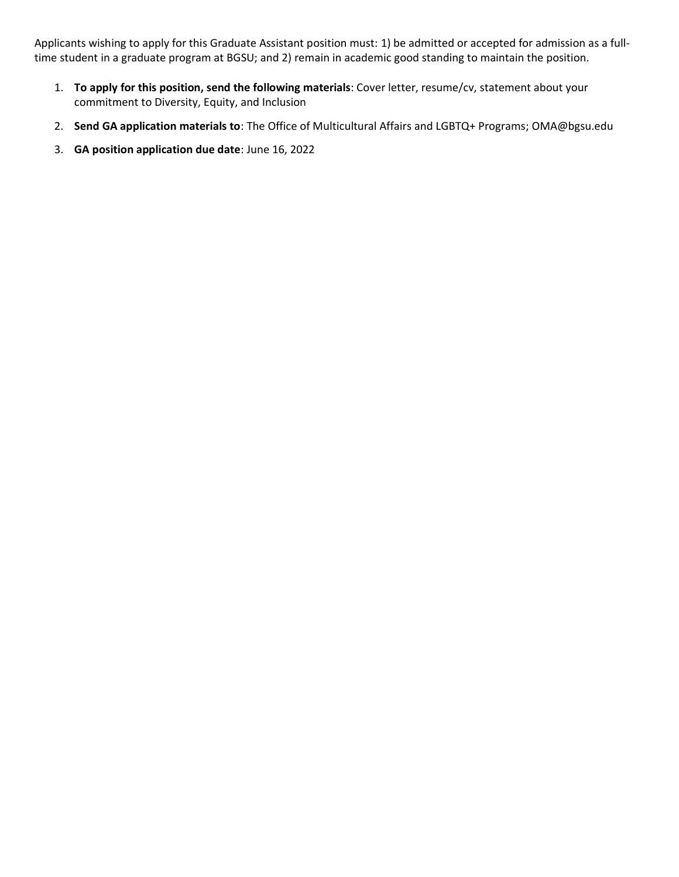Applicants wishing to apply for this Graduate Assistant position must: 1) be admitted or accepted for admission as a fulltime student in a graduate program at BGSU; and 2) remain in academic good standing to maintain the position.

- 1. **To apply for this position, send the following materials**: Cover letter, resume/cv, statement about your commitment to Diversity, Equity, and Inclusion
- 2. **Send GA application materials to**: The Office of Multicultural Affairs and LGBTQ+ Programs; OMA@bgsu.edu
- 3. **GA position application due date**: June 16, 2022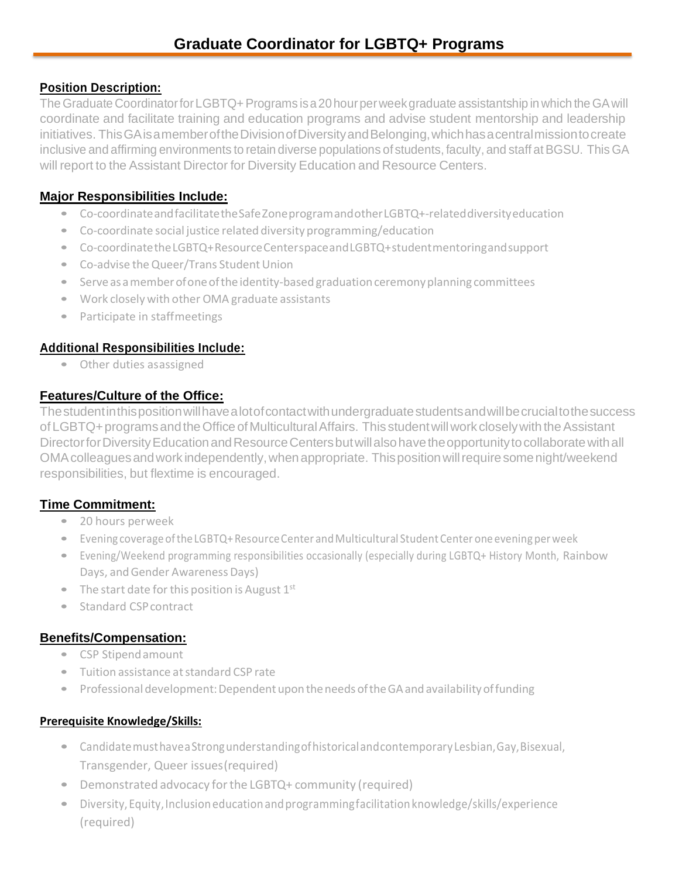### **Position Description:**

TheGraduate CoordinatorforLGBTQ+Programs isa20hourperweekgraduate assistantship in which theGAwill coordinate and facilitate training and education programs and advise student mentorship and leadership initiatives. This GA is a member of the Division of Diversity and Belonging, which has a central mission to create inclusive and affirming environments to retain diverse populations of students, faculty, and staff at BGSU. This GA will report to the Assistant Director for Diversity Education and Resource Centers.

# **Major Responsibilities Include:**

- Co-coordinateandfacilitatetheSafeZoneprogramandotherLGBTQ+-relateddiversityeducation
- Co-coordinate social justice related diversity programming/education
- Co-coordinatetheLGBTQ+ResourceCenterspaceandLGBTQ+studentmentoringandsupport
- Co-advise the Queer/Trans Student Union
- Serve as a member of one of the identity-based graduation ceremony planning committees
- Work closelywith other OMA graduate assistants
- Participate in staffmeetings

## **Additional Responsibilities Include:**

• Other duties asassigned

# **Features/Culture of the Office:**

Thestudentinthispositionwillhavealotofcontactwithundergraduatestudentsandwillbecrucialtothesuccess of LGBTQ+ programs and the Office of Multicultural Affairs. This student will work closely with the Assistant Director for Diversity Education and Resource Centers but will also have the opportunity to collaborate with all OMAcolleaguesandwork independently,whenappropriate. Thispositionwillrequiresomenight/weekend responsibilities, but flextime is encouraged.

# **Time Commitment:**

- 20 hours perweek
- Evening coverage of the LGBTQ+Resource Center and Multicultural Student Center one evening per week
- Evening/Weekend programming responsibilities occasionally (especially during LGBTQ+ History Month, Rainbow Days, and Gender Awareness Days)
- The start date for this position is August  $1<sup>st</sup>$
- Standard CSP contract

## **Benefits/Compensation:**

- CSP Stipendamount
- Tuition assistance atstandard CSP rate
- Professionaldevelopment:DependentupontheneedsoftheGAandavailabilityoffunding

### **Prerequisite Knowledge/Skills:**

- Candidate must have a Strong understanding of historical and contemporary Lesbian, Gay, Bisexual, Transgender, Queer issues(required)
- Demonstrated advocacy forthe LGBTQ+ community (required)
- Diversity,Equity,Inclusioneducationandprogrammingfacilitationknowledge/skills/experience (required)